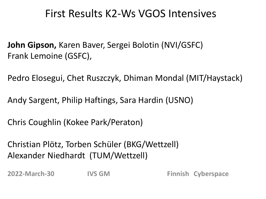### First Results K2-Ws VGOS Intensives

**John Gipson,** Karen Baver, Sergei Bolotin (NVI/GSFC) Frank Lemoine (GSFC),

Pedro Elosegui, Chet Ruszczyk, Dhiman Mondal (MIT/Haystack)

Andy Sargent, Philip Haftings, Sara Hardin (USNO)

Chris Coughlin (Kokee Park/Peraton)

Christian Plötz, Torben Schüler (BKG/Wettzell) Alexander Niedhardt (TUM/Wettzell)

**2022-March-30 IVS GM Finnish Cyberspace**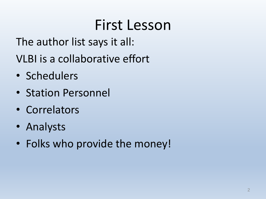### First Lesson

The author list says it all:

VLBI is a collaborative effort

- Schedulers
- Station Personnel
- Correlators
- Analysts
- Folks who provide the money!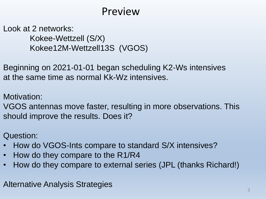### Preview

Look at 2 networks: Kokee-Wettzell (S/X) Kokee12M-Wettzell13S (VGOS)

Beginning on 2021-01-01 began scheduling K2-Ws intensives at the same time as normal Kk-Wz intensives.

Motivation:

VGOS antennas move faster, resulting in more observations. This should improve the results. Does it?

Question:

- How do VGOS-Ints compare to standard S/X intensives?
- How do they compare to the R1/R4
- How do they compare to external series (JPL (thanks Richard!)

Alternative Analysis Strategies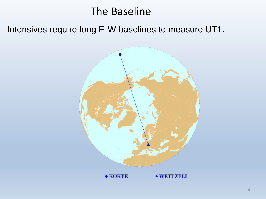### The Baseline

Intensives require long E-W baselines to measure UT1.



 $\bullet$  KOKEE **AWETTZELL**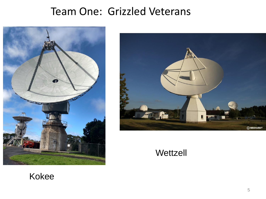### Team One: Grizzled Veterans





**Wettzell** 

#### Kokee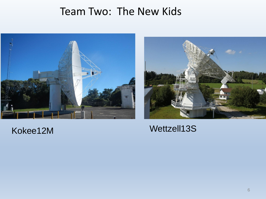### Team Two: The New Kids





#### Kokee12M Wettzell13S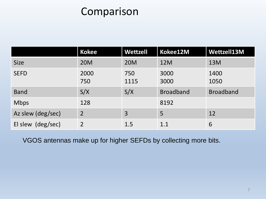### Comparison

|                   | <b>Kokee</b>   | <b>Wettzell</b> | Kokee12M         | Wettzell13M      |
|-------------------|----------------|-----------------|------------------|------------------|
| <b>Size</b>       | <b>20M</b>     | <b>20M</b>      | 12M              | 13M              |
| <b>SEFD</b>       | 2000<br>750    | 750<br>1115     | 3000<br>3000     | 1400<br>1050     |
| <b>Band</b>       | S/X            | S/X             | <b>Broadband</b> | <b>Broadband</b> |
| <b>Mbps</b>       | 128            |                 | 8192             |                  |
| Az slew (deg/sec) | $\overline{2}$ | 3               | 5                | 12               |
| El slew (deg/sec) | $\overline{2}$ | 1.5             | 1.1              | 6                |

VGOS antennas make up for higher SEFDs by collecting more bits.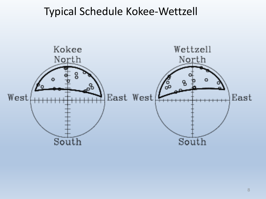### Typical Schedule Kokee-Wettzell

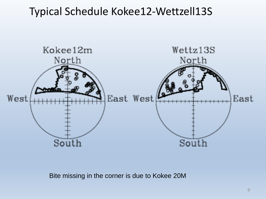### Typical Schedule Kokee12-Wettzell13S



Bite missing in the corner is due to Kokee 20M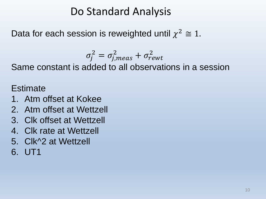### Do Standard Analysis

Data for each session is reweighted until  $\chi^2 \cong 1$ .

$$
\sigma_j^2 = \sigma_{j,meas}^2 + \sigma_{rewt}^2
$$

Same constant is added to all observations in a session

**Estimate** 

- 1. Atm offset at Kokee
- 2. Atm offset at Wettzell
- 3. Clk offset at Wettzell
- 4. Clk rate at Wettzell
- 5. Clk^2 at Wettzell
- 6. UT1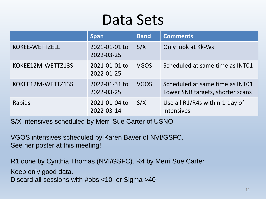### Data Sets

|                   | <b>Span</b>                 | <b>Band</b> | <b>Comments</b>                                                     |
|-------------------|-----------------------------|-------------|---------------------------------------------------------------------|
| KOKEE-WETTZELL    | 2021-01-01 to<br>2022-03-25 | S/X         | Only look at Kk-Ws                                                  |
| KOKEE12M-WETTZ13S | 2021-01-01 to<br>2022-01-25 | <b>VGOS</b> | Scheduled at same time as INT01                                     |
| KOKEE12M-WETTZ13S | 2022-01-31 to<br>2022-03-25 | <b>VGOS</b> | Scheduled at same time as INT01<br>Lower SNR targets, shorter scans |
| Rapids            | 2021-01-04 to<br>2022-03-14 | S/X         | Use all R1/R4s within 1-day of<br>intensives                        |

S/X intensives scheduled by Merri Sue Carter of USNO

VGOS intensives scheduled by Karen Baver of NVI/GSFC. See her poster at this meeting!

R1 done by Cynthia Thomas (NVI/GSFC). R4 by Merri Sue Carter.

Keep only good data.

Discard all sessions with #obs <10 or Sigma >40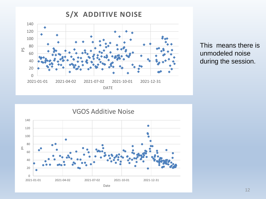

This means there is unmodeled noise during the session.

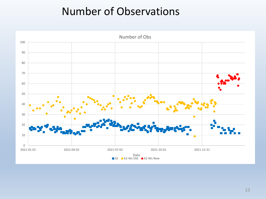### Number of Observations

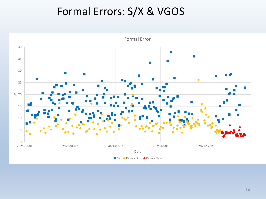### Formal Errors: S/X & VGOS

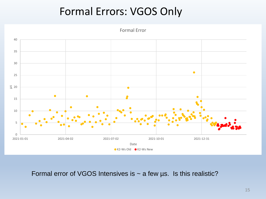### Formal Errors: VGOS Only

Formal Error



Formal error of VGOS Intensives is  $\sim$  a few us. Is this realistic?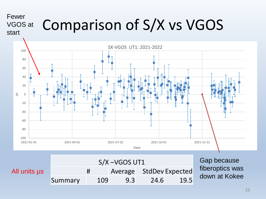#### Comparison of S/X vs VGOS Fewer VGOS at start

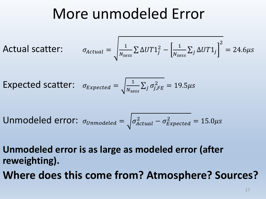### More unmodeled Error

Actual scatter:  $\sigma_A$ 

$$
_{\text{Actual}} = \sqrt{\frac{1}{N_{sess}} \sum \Delta U T 1_{j}^{2} - \left[\frac{1}{N_{sess}} \sum_{j} \Delta U T 1_{j}\right]^{2}} = 24.6 \mu s
$$

Expected scatter:  $\sigma_{Expected} = \sqrt{\frac{1}{N}}$  $\frac{1}{N_{sess}}\sum_j \sigma_{j,FE}^2 = 19.5 \mu s$ 

Unmodeled error: 
$$
\sigma_{Unmodeled} = \sqrt{\sigma_{Actual}^2 - \sigma_{Expected}^2} = 15.0 \mu s
$$

**Unmodeled error is as large as modeled error (after reweighting).** 

**Where does this come from? Atmosphere? Sources?**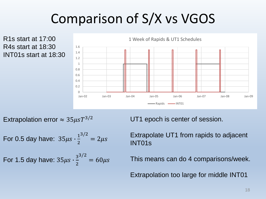### Comparison of S/X vs VGOS

R1s start at 17:00 R4s start at 18:30 INT01s start at 18:30



Extrapolation error  $\approx 35 \mu s T^{3/2}$ 

For 0.5 day have:  $35 \mu s \cdot \frac{1}{2}$ 2 3/2  $= 2 \mu s$ 

For 1.5 day have: 
$$
35\mu s \cdot \frac{3^{3/2}}{2} = 60\mu s
$$

UT1 epoch is center of session.

Extrapolate UT1 from rapids to adjacent INT01s

This means can do 4 comparisons/week.

Extrapolation too large for middle INT01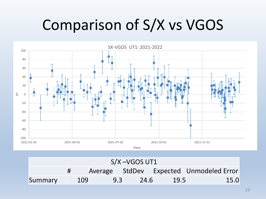# Comparison of S/X vs VGOS



| $S/X - VGOS UT1$ |  |     |     |      |      |                                         |  |
|------------------|--|-----|-----|------|------|-----------------------------------------|--|
|                  |  |     |     |      |      | Average StdDev Expected Unmodeled Error |  |
| Summary          |  | 109 | 9.3 | 24.6 | 19.5 | 15.0                                    |  |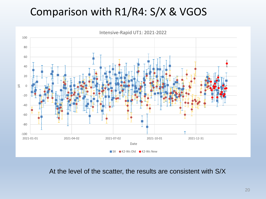### Comparison with R1/R4: S/X & VGOS



At the level of the scatter, the results are consistent with S/X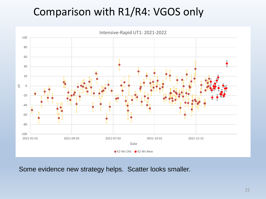### Comparison with R1/R4: VGOS only



Some evidence new strategy helps. Scatter looks smaller.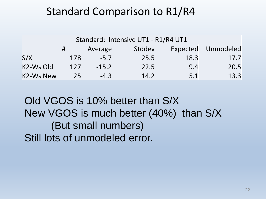### Standard Comparison to R1/R4

| Standard: Intensive UT1 - R1/R4 UT1 |     |         |        |          |           |  |  |  |
|-------------------------------------|-----|---------|--------|----------|-----------|--|--|--|
|                                     | #   | Average | Stddev | Expected | Unmodeled |  |  |  |
| S/X                                 | 178 | $-5.7$  | 25.5   | 18.3     | 17.7      |  |  |  |
| K2-Ws Old                           | 127 | $-15.2$ | 22.5   | 9.4      | 20.5      |  |  |  |
| <b>K2-Ws New</b>                    | 25  | $-4.3$  | 14.2   | 5.1      | 13.3      |  |  |  |

Old VGOS is 10% better than S/X New VGOS is much better (40%) than S/X (But small numbers) Still lots of unmodeled error.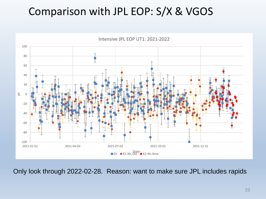### Comparison with JPL EOP: S/X & VGOS



Only look through 2022-02-28. Reason: want to make sure JPL includes rapids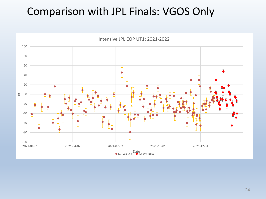### Comparison with JPL Finals: VGOS Only

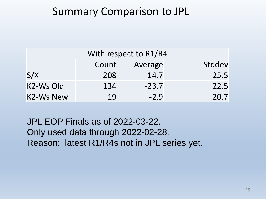### Summary Comparison to JPL

| With respect to R1/R4 |       |         |        |  |  |  |  |
|-----------------------|-------|---------|--------|--|--|--|--|
|                       | Count | Average | Stddev |  |  |  |  |
| S/X                   | 208   | $-14.7$ | 25.5   |  |  |  |  |
| K2-Ws Old             | 134   | $-23.7$ | 22.5   |  |  |  |  |
| <b>K2-Ws New</b>      | 19    | $-2.9$  | 20.7   |  |  |  |  |

JPL EOP Finals as of 2022-03-22. Only used data through 2022-02-28. Reason: latest R1/R4s not in JPL series yet.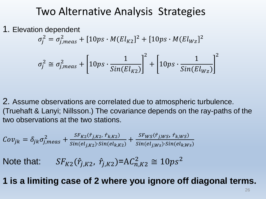#### Two Alternative Analysis Strategies

1. Elevation dependent

$$
\sigma_j^2 = \sigma_{j,meas}^2 + [10ps \cdot M(El_{K2}]^2 + [10ps \cdot M(El_{WZ}]^2
$$

$$
\sigma_j^2 \cong \sigma_{j,meas}^2 + \left[10ps \cdot \frac{1}{Sin(El_{K2})}\right]^2 + \left[10ps \cdot \frac{1}{Sin(El_{Wz})}\right]^2
$$

2. Assume observations are correlated due to atmospheric turbulence. (Truehaft & Lanyi; Nillsson.) The covariance depends on the ray-paths of the two observations at the two stations.

$$
Cov_{jk} = \delta_{jk}\sigma_{j,meas}^{2} + \frac{sF_{K2}(\hat{r}_{j,K2}, \hat{r}_{k,K2})}{\sin(el_{j,K2}) \cdot \sin(el_{k,K2})} + \frac{sF_{WS}(\hat{r}_{j,Ws}, \hat{r}_{k,Ws})}{\sin(el_{j,Ws}) \cdot \sin(el_{k,Ws})}
$$
  
Note that:  $SF_{K2}(\hat{r}_{j,K2}, \hat{r}_{j,K2}) = AC_{n,K2}^{2} \approx 10ps^{2}$ 

**1 is a limiting case of 2 where you ignore off diagonal terms.**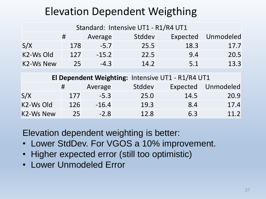### Elevation Dependent Weigthing

| Standard: Intensive UT1 - R1/R4 UT1               |     |         |      |      |      |  |  |
|---------------------------------------------------|-----|---------|------|------|------|--|--|
| Stddev<br>Expected<br>Unmodeled<br>#<br>Average   |     |         |      |      |      |  |  |
| S/X                                               | 178 | $-5.7$  | 25.5 | 18.3 | 17.7 |  |  |
| K2-Ws Old                                         | 127 | $-15.2$ | 22.5 | 9.4  | 20.5 |  |  |
| <b>K2-Ws New</b>                                  | 25  | $-4.3$  | 14.2 | 5.1  | 13.3 |  |  |
| El Dependent Weighting: Intensive UT1 - R1/R4 UT1 |     |         |      |      |      |  |  |
|                                                   |     |         |      |      |      |  |  |

|           |     | Average | Stddev | Expected | Unmodeled |  |  |  |
|-----------|-----|---------|--------|----------|-----------|--|--|--|
| S/X       | 177 | $-5.3$  | 25.0   | 14.5     | 20.9      |  |  |  |
| K2-Ws Old | 126 | $-16.4$ | 19.3   | 8.4      | 17.4      |  |  |  |
| K2-Ws New | 25  | $-2.8$  | 12.8   | 6.3      | 11.2      |  |  |  |

Elevation dependent weighting is better:

- Lower StdDev. For VGOS a 10% improvement.
- Higher expected error (still too optimistic)
- Lower Unmodeled Error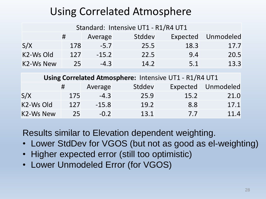### Using Correlated Atmosphere

| Standard: Intensive UT1 - R1/R4 UT1             |         |      |      |      |  |  |  |  |
|-------------------------------------------------|---------|------|------|------|--|--|--|--|
| Stddev<br>Unmodeled<br>Expected<br>Average<br># |         |      |      |      |  |  |  |  |
| 178                                             | $-5.7$  | 25.5 | 18.3 | 17.7 |  |  |  |  |
| 127                                             | $-15.2$ | 22.5 | 9.4  | 20.5 |  |  |  |  |
| 25                                              | $-4.3$  | 14.2 | 5.1  | 13.3 |  |  |  |  |
|                                                 |         |      |      |      |  |  |  |  |

| Using Correlated Atmosphere: Intensive UT1 - R1/R4 UT1 |     |         |        |      |                    |  |  |
|--------------------------------------------------------|-----|---------|--------|------|--------------------|--|--|
|                                                        | #   | Average | Stddev |      | Expected Unmodeled |  |  |
| S/X                                                    | 175 | $-4.3$  | 25.9   | 15.2 | 21.0               |  |  |
| K2-Ws Old                                              | 127 | $-15.8$ | 19.2   | 8.8  | 17.1               |  |  |
| <b>K2-Ws New</b>                                       | 25  | $-0.2$  | 13.1   | 7.7  | 11.4               |  |  |

Results similar to Elevation dependent weighting.

- Lower StdDev for VGOS (but not as good as el-weighting)
- Higher expected error (still too optimistic)
- Lower Unmodeled Error (for VGOS)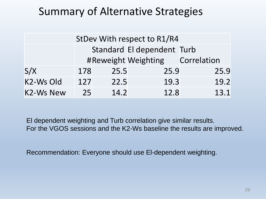### Summary of Alternative Strategies

| StDev With respect to R1/R4 |     |      |                                 |      |  |  |  |
|-----------------------------|-----|------|---------------------------------|------|--|--|--|
|                             |     |      | Standard El dependent Turb      |      |  |  |  |
|                             |     |      | #Reweight Weighting Correlation |      |  |  |  |
| S/X                         | 178 | 25.5 | 25.9                            | 25.9 |  |  |  |
| K2-Ws Old                   | 127 | 22.5 | 19.3                            | 19.2 |  |  |  |
| <b>K2-Ws New</b>            | 25  | 14.2 | 12.8                            | 13.1 |  |  |  |

El dependent weighting and Turb correlation give similar results. For the VGOS sessions and the K2-Ws baseline the results are improved.

Recommendation: Everyone should use El-dependent weighting.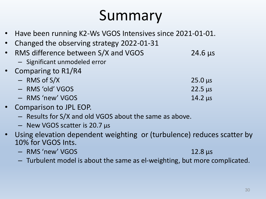## Summary

- Have been running K2-Ws VGOS Intensives since 2021-01-01.
- Changed the observing strategy 2022-01-31
- RMS difference between S/X and VGOS 24.6 μs
	- Significant unmodeled error
- Comparing to R1/R4
	- $-$  RMS of S/X 25.0 μs – RMS 'old' VGOS 22.5 μs
	- RMS 'new' VGOS 14.2 μs
- Comparison to JPL EOP.
	- Results for S/X and old VGOS about the same as above.
	- New VGOS scatter is 20.7 μs
- Using elevation dependent weighting or (turbulence) reduces scatter by 10% for VGOS Ints.
	- RMS 'new' VGOS 12.8 μs
	- Turbulent model is about the same as el-weighting, but more complicated.